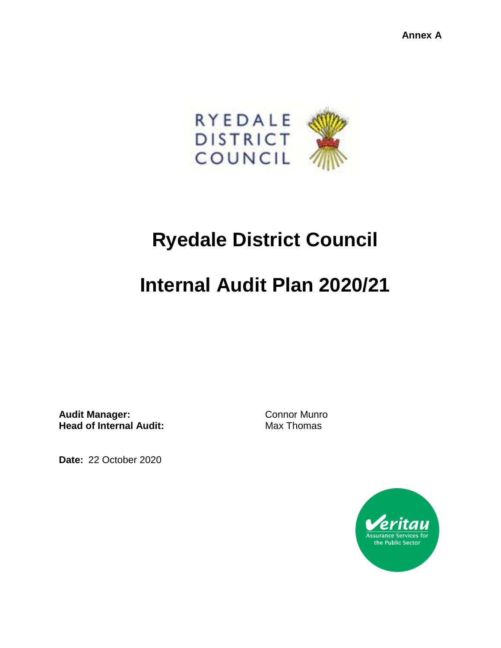**Annex A**



## **Ryedale District Council**

# **Internal Audit Plan 2020/21**

Audit Manager: Connor Munro **Head of Internal Audit:** Max Thomas

**Date:** 22 October 2020

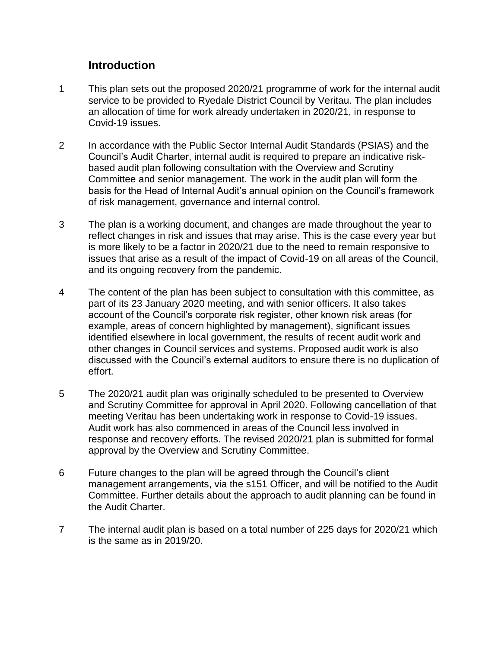#### **Introduction**

- 1 This plan sets out the proposed 2020/21 programme of work for the internal audit service to be provided to Ryedale District Council by Veritau. The plan includes an allocation of time for work already undertaken in 2020/21, in response to Covid-19 issues.
- 2 In accordance with the Public Sector Internal Audit Standards (PSIAS) and the Council's Audit Charter, internal audit is required to prepare an indicative riskbased audit plan following consultation with the Overview and Scrutiny Committee and senior management. The work in the audit plan will form the basis for the Head of Internal Audit's annual opinion on the Council's framework of risk management, governance and internal control.
- 3 The plan is a working document, and changes are made throughout the year to reflect changes in risk and issues that may arise. This is the case every year but is more likely to be a factor in 2020/21 due to the need to remain responsive to issues that arise as a result of the impact of Covid-19 on all areas of the Council, and its ongoing recovery from the pandemic.
- 4 The content of the plan has been subject to consultation with this committee, as part of its 23 January 2020 meeting, and with senior officers. It also takes account of the Council's corporate risk register, other known risk areas (for example, areas of concern highlighted by management), significant issues identified elsewhere in local government, the results of recent audit work and other changes in Council services and systems. Proposed audit work is also discussed with the Council's external auditors to ensure there is no duplication of effort.
- 5 The 2020/21 audit plan was originally scheduled to be presented to Overview and Scrutiny Committee for approval in April 2020. Following cancellation of that meeting Veritau has been undertaking work in response to Covid-19 issues. Audit work has also commenced in areas of the Council less involved in response and recovery efforts. The revised 2020/21 plan is submitted for formal approval by the Overview and Scrutiny Committee.
- 6 Future changes to the plan will be agreed through the Council's client management arrangements, via the s151 Officer, and will be notified to the Audit Committee. Further details about the approach to audit planning can be found in the Audit Charter.
- 7 The internal audit plan is based on a total number of 225 days for 2020/21 which is the same as in 2019/20.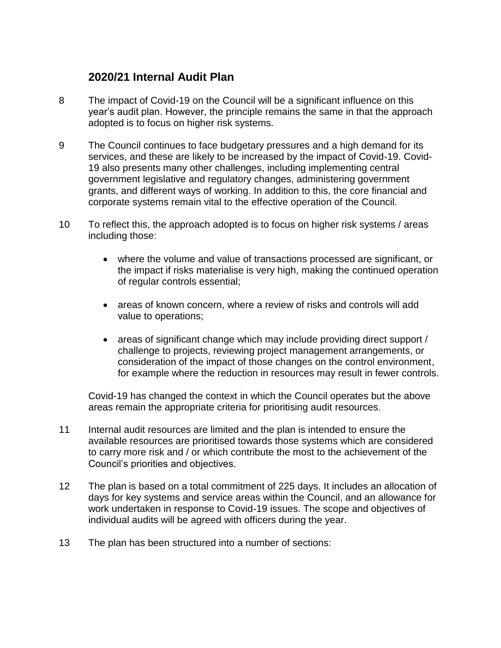### **2020/21 Internal Audit Plan**

- 8 The impact of Covid-19 on the Council will be a significant influence on this year's audit plan. However, the principle remains the same in that the approach adopted is to focus on higher risk systems.
- 9 The Council continues to face budgetary pressures and a high demand for its services, and these are likely to be increased by the impact of Covid-19. Covid-19 also presents many other challenges, including implementing central government legislative and regulatory changes, administering government grants, and different ways of working. In addition to this, the core financial and corporate systems remain vital to the effective operation of the Council.
- 10 To reflect this, the approach adopted is to focus on higher risk systems / areas including those:
	- where the volume and value of transactions processed are significant, or the impact if risks materialise is very high, making the continued operation of regular controls essential;
	- areas of known concern, where a review of risks and controls will add value to operations;
	- areas of significant change which may include providing direct support / challenge to projects, reviewing project management arrangements, or consideration of the impact of those changes on the control environment, for example where the reduction in resources may result in fewer controls.

Covid-19 has changed the context in which the Council operates but the above areas remain the appropriate criteria for prioritising audit resources.

- 11 Internal audit resources are limited and the plan is intended to ensure the available resources are prioritised towards those systems which are considered to carry more risk and / or which contribute the most to the achievement of the Council's priorities and objectives.
- 12 The plan is based on a total commitment of 225 days. It includes an allocation of days for key systems and service areas within the Council, and an allowance for work undertaken in response to Covid-19 issues. The scope and objectives of individual audits will be agreed with officers during the year.
- 13 The plan has been structured into a number of sections: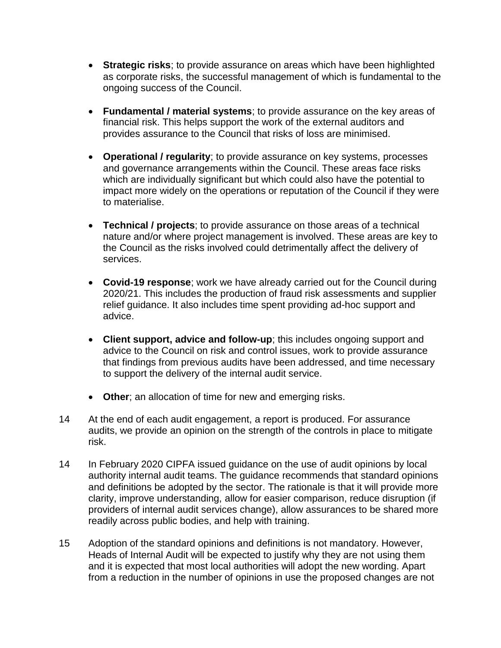- **Strategic risks**; to provide assurance on areas which have been highlighted as corporate risks, the successful management of which is fundamental to the ongoing success of the Council.
- **Fundamental / material systems**; to provide assurance on the key areas of financial risk. This helps support the work of the external auditors and provides assurance to the Council that risks of loss are minimised.
- **Operational / regularity**; to provide assurance on key systems, processes and governance arrangements within the Council. These areas face risks which are individually significant but which could also have the potential to impact more widely on the operations or reputation of the Council if they were to materialise.
- **Technical / projects**; to provide assurance on those areas of a technical nature and/or where project management is involved. These areas are key to the Council as the risks involved could detrimentally affect the delivery of services.
- **Covid-19 response**; work we have already carried out for the Council during 2020/21. This includes the production of fraud risk assessments and supplier relief guidance. It also includes time spent providing ad-hoc support and advice.
- **Client support, advice and follow-up**; this includes ongoing support and advice to the Council on risk and control issues, work to provide assurance that findings from previous audits have been addressed, and time necessary to support the delivery of the internal audit service.
- **Other**; an allocation of time for new and emerging risks.
- 14 At the end of each audit engagement, a report is produced. For assurance audits, we provide an opinion on the strength of the controls in place to mitigate risk.
- 14 In February 2020 CIPFA issued guidance on the use of audit opinions by local authority internal audit teams. The guidance recommends that standard opinions and definitions be adopted by the sector. The rationale is that it will provide more clarity, improve understanding, allow for easier comparison, reduce disruption (if providers of internal audit services change), allow assurances to be shared more readily across public bodies, and help with training.
- 15 Adoption of the standard opinions and definitions is not mandatory. However, Heads of Internal Audit will be expected to justify why they are not using them and it is expected that most local authorities will adopt the new wording. Apart from a reduction in the number of opinions in use the proposed changes are not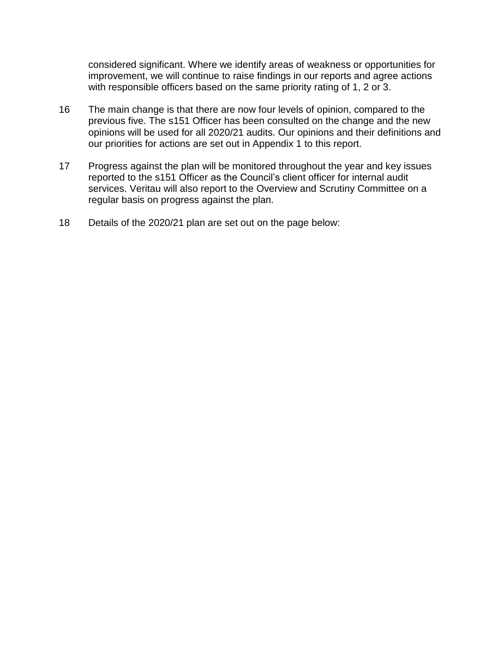considered significant. Where we identify areas of weakness or opportunities for improvement, we will continue to raise findings in our reports and agree actions with responsible officers based on the same priority rating of 1, 2 or 3.

- 16 The main change is that there are now four levels of opinion, compared to the previous five. The s151 Officer has been consulted on the change and the new opinions will be used for all 2020/21 audits. Our opinions and their definitions and our priorities for actions are set out in Appendix 1 to this report.
- 17 Progress against the plan will be monitored throughout the year and key issues reported to the s151 Officer as the Council's client officer for internal audit services. Veritau will also report to the Overview and Scrutiny Committee on a regular basis on progress against the plan.
- 18 Details of the 2020/21 plan are set out on the page below: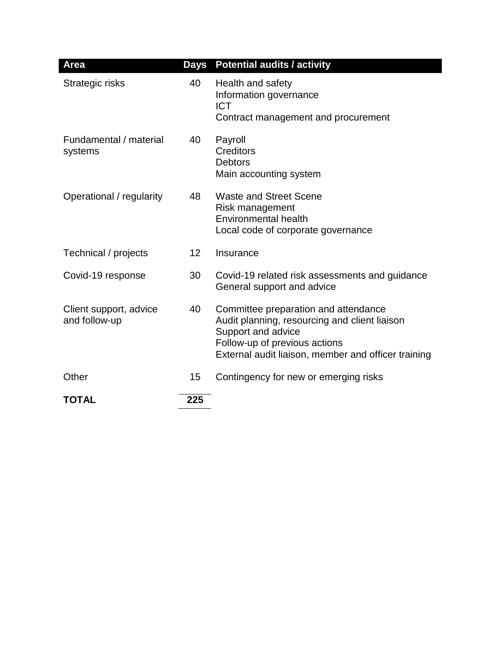| Area                                    | Days | <b>Potential audits / activity</b>                                                                                                                                                                  |
|-----------------------------------------|------|-----------------------------------------------------------------------------------------------------------------------------------------------------------------------------------------------------|
| Strategic risks                         | 40   | Health and safety<br>Information governance<br><b>ICT</b><br>Contract management and procurement                                                                                                    |
| Fundamental / material<br>systems       | 40   | Payroll<br>Creditors<br><b>Debtors</b><br>Main accounting system                                                                                                                                    |
| Operational / regularity                | 48   | <b>Waste and Street Scene</b><br>Risk management<br><b>Environmental health</b><br>Local code of corporate governance                                                                               |
| Technical / projects                    | 12   | Insurance                                                                                                                                                                                           |
| Covid-19 response                       | 30   | Covid-19 related risk assessments and guidance<br>General support and advice                                                                                                                        |
| Client support, advice<br>and follow-up | 40   | Committee preparation and attendance<br>Audit planning, resourcing and client liaison<br>Support and advice<br>Follow-up of previous actions<br>External audit liaison, member and officer training |
| Other                                   | 15   | Contingency for new or emerging risks                                                                                                                                                               |
| <b>TOTAL</b>                            | 225  |                                                                                                                                                                                                     |

٠